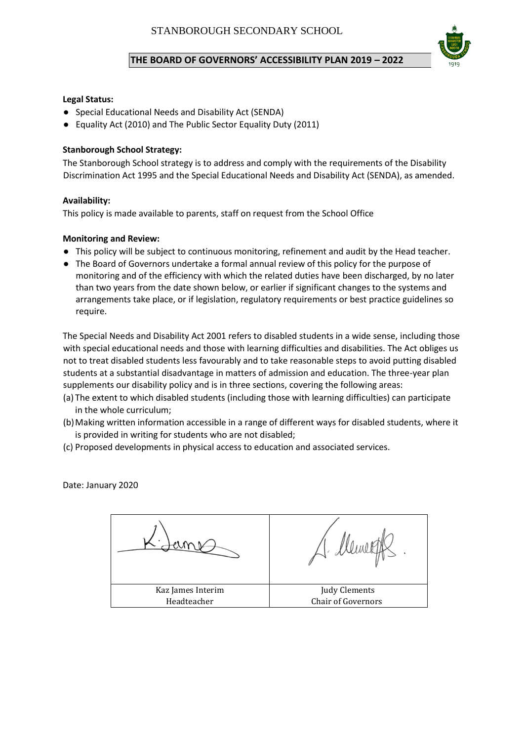# **THE BOARD OF GOVERNORS' ACCESSIBILITY PLAN 2019 – 2022**



### **Legal Status:**

- Special Educational Needs and Disability Act (SENDA)
- Equality Act (2010) and The Public Sector Equality Duty (2011)

## **Stanborough School Strategy:**

The Stanborough School strategy is to address and comply with the requirements of the Disability Discrimination Act 1995 and the Special Educational Needs and Disability Act (SENDA), as amended.

### **Availability:**

This policy is made available to parents, staff on request from the School Office

## **Monitoring and Review:**

- This policy will be subject to continuous monitoring, refinement and audit by the Head teacher.
- The Board of Governors undertake a formal annual review of this policy for the purpose of monitoring and of the efficiency with which the related duties have been discharged, by no later than two years from the date shown below, or earlier if significant changes to the systems and arrangements take place, or if legislation, regulatory requirements or best practice guidelines so require.

The Special Needs and Disability Act 2001 refers to disabled students in a wide sense, including those with special educational needs and those with learning difficulties and disabilities. The Act obliges us not to treat disabled students less favourably and to take reasonable steps to avoid putting disabled students at a substantial disadvantage in matters of admission and education. The three-year plan supplements our disability policy and is in three sections, covering the following areas:

- (a) The extent to which disabled students (including those with learning difficulties) can participate in the whole curriculum;
- (b)Making written information accessible in a range of different ways for disabled students, where it is provided in writing for students who are not disabled;
- (c) Proposed developments in physical access to education and associated services.

Date: January 2020

Kaz James Interim Headteacher Judy Clements Chair of Governors